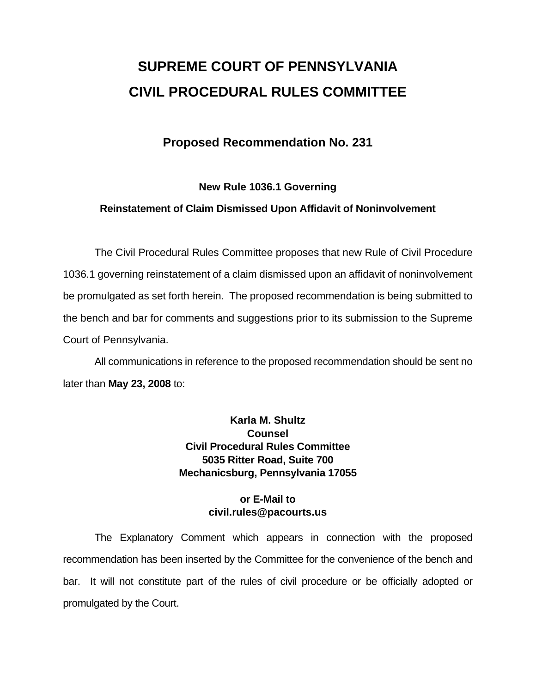# **SUPREME COURT OF PENNSYLVANIA CIVIL PROCEDURAL RULES COMMITTEE**

## **Proposed Recommendation No. 231**

### **New Rule 1036.1 Governing**

### **Reinstatement of Claim Dismissed Upon Affidavit of Noninvolvement**

 The Civil Procedural Rules Committee proposes that new Rule of Civil Procedure 1036.1 governing reinstatement of a claim dismissed upon an affidavit of noninvolvement be promulgated as set forth herein. The proposed recommendation is being submitted to the bench and bar for comments and suggestions prior to its submission to the Supreme Court of Pennsylvania.

 All communications in reference to the proposed recommendation should be sent no later than **May 23, 2008** to:

## **Karla M. Shultz Counsel Civil Procedural Rules Committee 5035 Ritter Road, Suite 700 Mechanicsburg, Pennsylvania 17055**

### **or E-Mail to civil.rules@pacourts.us**

 The Explanatory Comment which appears in connection with the proposed recommendation has been inserted by the Committee for the convenience of the bench and bar. It will not constitute part of the rules of civil procedure or be officially adopted or promulgated by the Court.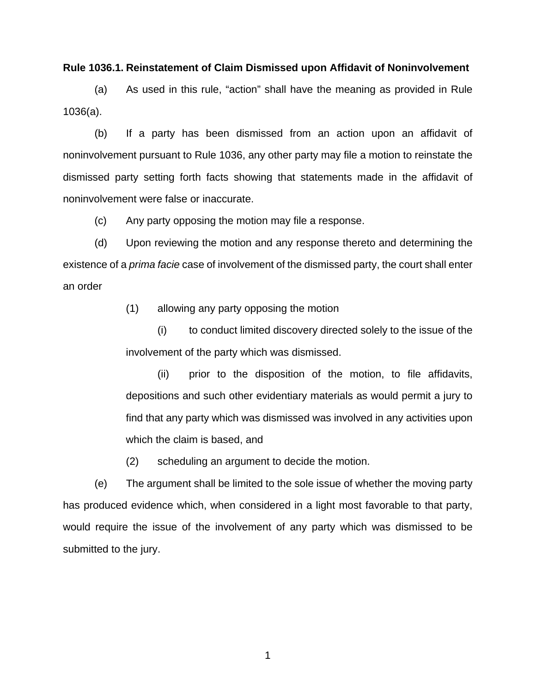#### **Rule 1036.1. Reinstatement of Claim Dismissed upon Affidavit of Noninvolvement**

(a) As used in this rule, "action" shall have the meaning as provided in Rule 1036(a).

(b) If a party has been dismissed from an action upon an affidavit of noninvolvement pursuant to Rule 1036, any other party may file a motion to reinstate the dismissed party setting forth facts showing that statements made in the affidavit of noninvolvement were false or inaccurate.

(c) Any party opposing the motion may file a response.

(d) Upon reviewing the motion and any response thereto and determining the existence of a *prima facie* case of involvement of the dismissed party, the court shall enter an order

(1) allowing any party opposing the motion

(i) to conduct limited discovery directed solely to the issue of the involvement of the party which was dismissed.

(ii) prior to the disposition of the motion, to file affidavits, depositions and such other evidentiary materials as would permit a jury to find that any party which was dismissed was involved in any activities upon which the claim is based, and

(2) scheduling an argument to decide the motion.

(e) The argument shall be limited to the sole issue of whether the moving party has produced evidence which, when considered in a light most favorable to that party, would require the issue of the involvement of any party which was dismissed to be submitted to the jury.

1